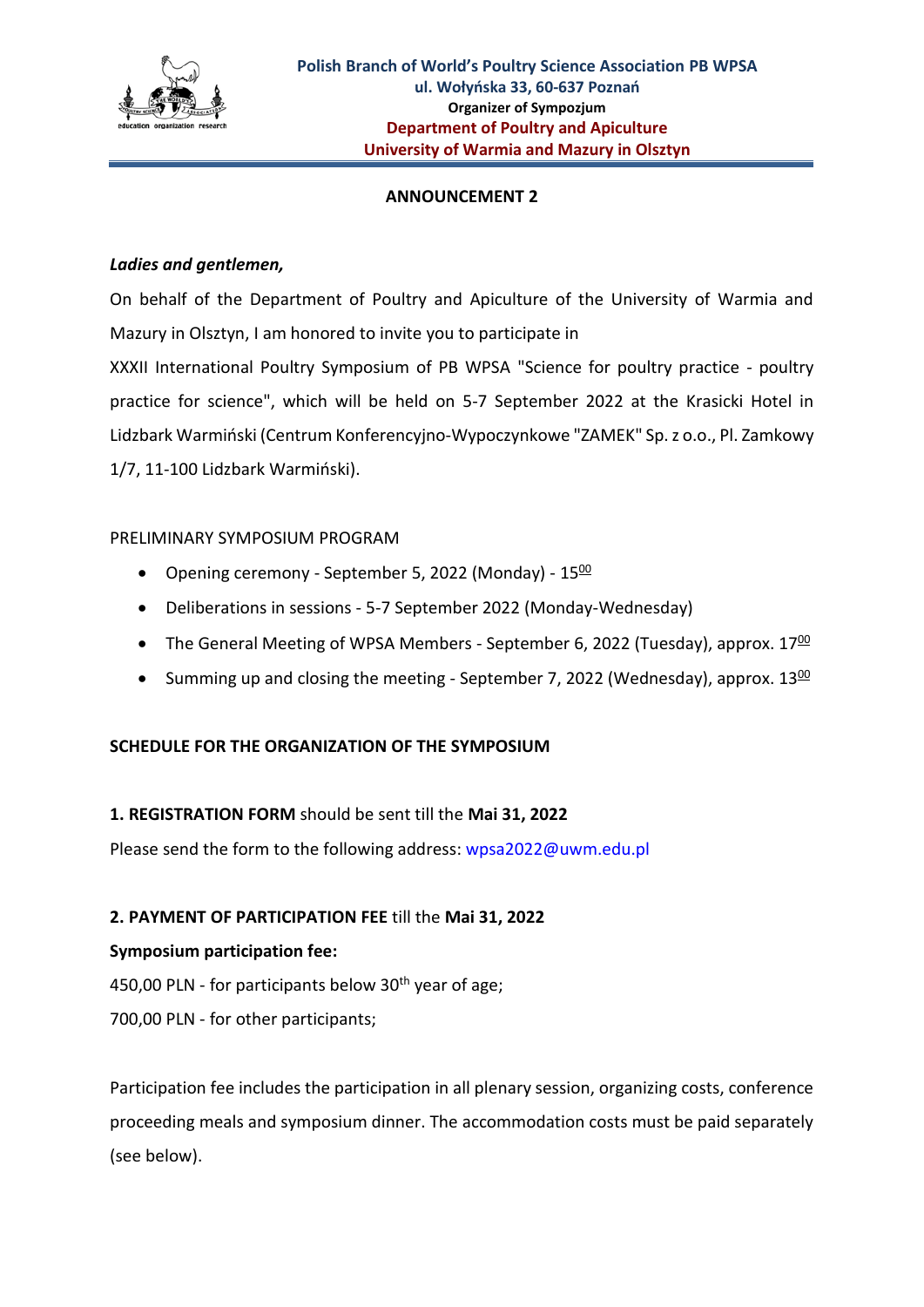

## **ANNOUNCEMENT 2**

## *Ladies and gentlemen,*

On behalf of the Department of Poultry and Apiculture of the University of Warmia and Mazury in Olsztyn, I am honored to invite you to participate in XXXII International Poultry Symposium of PB WPSA "Science for poultry practice - poultry practice for science", which will be held on 5-7 September 2022 at the Krasicki Hotel in Lidzbark Warmiński (Centrum Konferencyjno-Wypoczynkowe "ZAMEK" Sp. z o.o., Pl. Zamkowy 1/7, 11-100 Lidzbark Warmiński).

## PRELIMINARY SYMPOSIUM PROGRAM

- Opening ceremony September 5, 2022 (Monday) 1500
- Deliberations in sessions 5-7 September 2022 (Monday-Wednesday)
- The General Meeting of WPSA Members September 6, 2022 (Tuesday), approx.  $17\frac{00}{100}$
- Summing up and closing the meeting September 7, 2022 (Wednesday), approx.  $13\frac{00}{1}$

# **SCHEDULE FOR THE ORGANIZATION OF THE SYMPOSIUM**

# **1. REGISTRATION FORM** should be sent till the **Mai 31, 2022**

Please send the form to the following address: wpsa2022@uwm.edu.pl

# **2. PAYMENT OF PARTICIPATION FEE** till the **Mai 31, 2022**

#### **Symposium participation fee:**

450,00 PLN - for participants below  $30<sup>th</sup>$  year of age;

700,00 PLN - for other participants;

Participation fee includes the participation in all plenary session, organizing costs, conference proceeding meals and symposium dinner. The accommodation costs must be paid separately (see below).